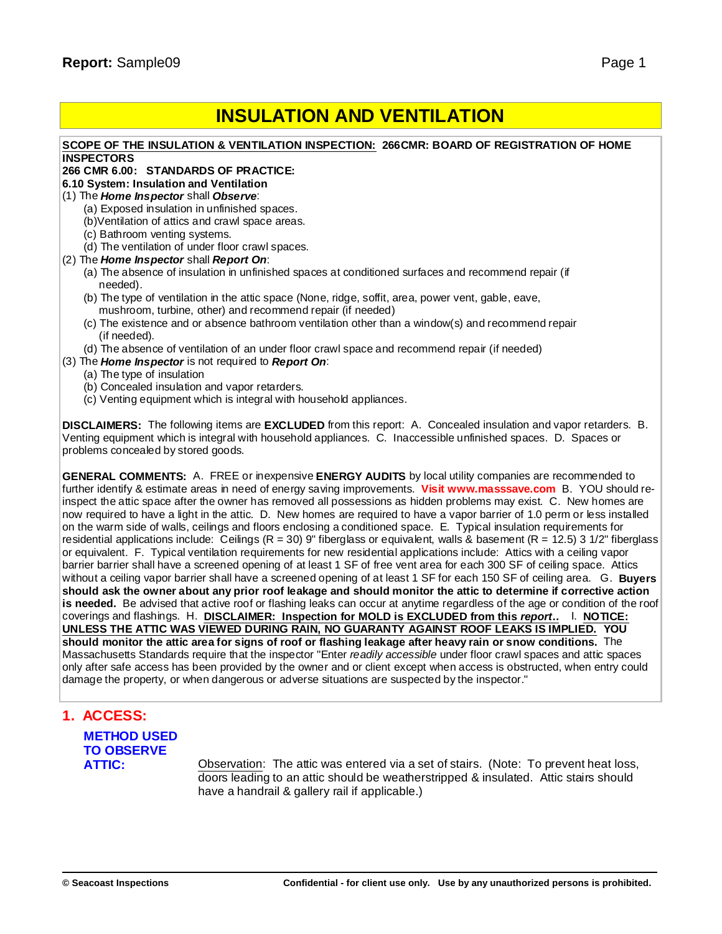# **INSULATION AND VENTILATION**

### **SCOPE OF THE INSULATION & VENTILATION INSPECTION: 266CMR: BOARD OF REGISTRATION OF HOME INSPECTORS**

### **266 CMR 6.00: STANDARDS OF PRACTICE:**

### **6.10 System: Insulation and Ventilation**

(1) The *Home Inspector* shall *Observe*:

- (a) Exposed insulation in unfinished spaces.
- (b)Ventilation of attics and crawl space areas.
- (c) Bathroom venting systems.
- (d) The ventilation of under floor crawl spaces.
- (2) The *Home Inspector* shall *Report On*:
	- (a) The absence of insulation in unfinished spaces at conditioned surfaces and recommend repair (if needed).
	- (b) The type of ventilation in the attic space (None, ridge, soffit, area, power vent, gable, eave, mushroom, turbine, other) and recommend repair (if needed)
	- (c) The existence and or absence bathroom ventilation other than a window(s) and recommend repair (if needed).
	- (d) The absence of ventilation of an under floor crawl space and recommend repair (if needed)
- (3) The *Home Inspector* is not required to *Report On*:
	- (a) The type of insulation
	- (b) Concealed insulation and vapor retarders.
	- (c) Venting equipment which is integral with household appliances.

**DISCLAIMERS:** The following items are **EXCLUDED** from this report: A. Concealed insulation and vapor retarders. B. Venting equipment which is integral with household appliances. C. Inaccessible unfinished spaces. D. Spaces or problems concealed by stored goods.

**GENERAL COMMENTS:** A. FREE or inexpensive **ENERGY AUDITS** by local utility companies are recommended to further identify & estimate areas in need of energy saving improvements. **Visit w[ww.masssave.com](www.masssave.com)** B. YOU should reinspect the attic space after the owner has removed all possessions as hidden problems may exist. C. New homes are now required to have a light in the attic. D. New homes are required to have a vapor barrier of 1.0 perm or less installed on the warm side of walls, ceilings and floors enclosing a conditioned space. E. Typical insulation requirements for residential applications include: Ceilings  $(R = 30)$  9" fiberglass or equivalent, walls & basement  $(R = 12.5)$  3 1/2" fiberglass or equivalent. F. Typical ventilation requirements for new residential applications include: Attics with a ceiling vapor barrier barrier shall have a screened opening of at least 1 SF of free vent area for each 300 SF of ceiling space. Attics without a ceiling vapor barrier shall have a screened opening of at least 1 SF for each 150 SF of ceiling area. G. **Buyers** should ask the owner about any prior roof leakage and should monitor the attic to determine if corrective action **is needed.** Be advised that active roof or flashing leaks can occur at anytime regardless of the age or condition of the roof coverings and flashings. H. **DISCLAIMER: Inspection for MOLD is EXCLUDED from this** *report***..** I. **NOTICE: UNLESS THE ATTIC WAS VIEWED DURING RAIN, NO GUARANTY AGAINST ROOF LEAKS IS IMPLIED. YOU** should monitor the attic area for signs of roof or flashing leakage after heavy rain or snow conditions. The Massachusetts Standards require that the inspector "Enter *readily accessible* under floor crawl spaces and attic spaces only after safe access has been provided by the owner and or client except when access is obstructed, when entry could damage the property, or when dangerous or adverse situations are suspected by the inspector."

## **1. ACCESS:**

# **METHOD USED TO OBSERVE**

**ATTIC:** Observation: The attic was entered via a set of stairs. (Note: To prevent heat loss, doors leading to an attic should be weatherstripped & insulated. Attic stairs should have a handrail & gallery rail if applicable.)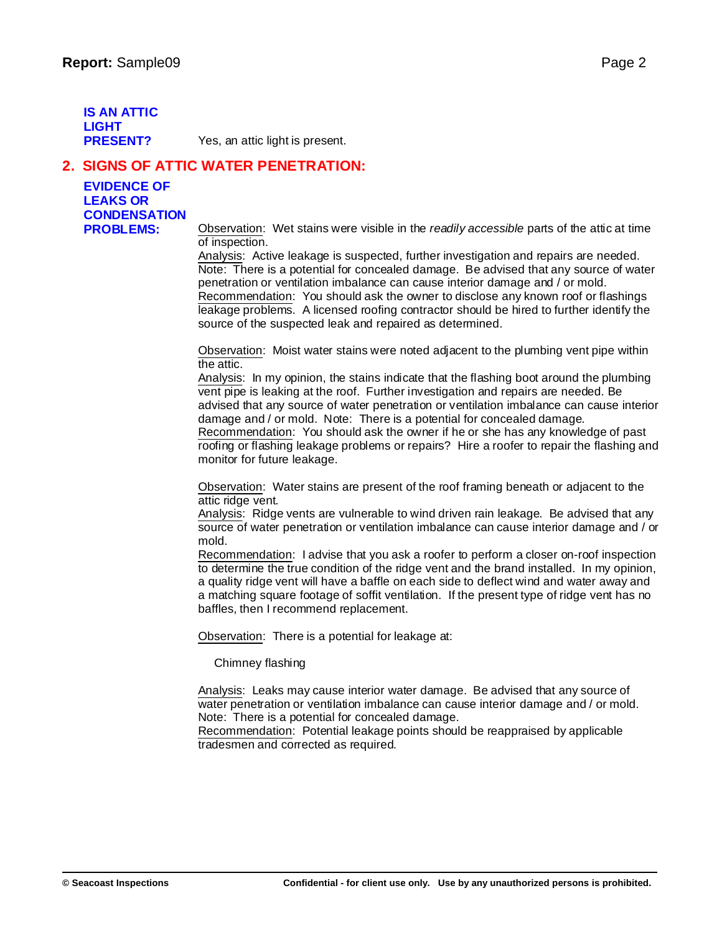**IS AN ATTIC LIGHT**

**PRESENT?** Yes, an attic light is present.

## **2. SIGNS OF ATTIC WATER PENETRATION:**

**EVIDENCE OF LEAKS OR CONDENSATION**

**PROBLEMS:** Observation: Wet stains were visible in the *readily accessible* parts of the attic at time of inspection.

Analysis: Active leakage is suspected, further investigation and repairs are needed. Note: There is a potential for concealed damage. Be advised that any source of water penetration or ventilation imbalance can cause interior damage and / or mold. Recommendation: You should ask the owner to disclose any known roof or flashings leakage problems. A licensed roofing contractor should be hired to further identify the source of the suspected leak and repaired as determined.

Observation: Moist water stains were noted adjacent to the plumbing vent pipe within the attic.

Analysis: In my opinion, the stains indicate that the flashing boot around the plumbing vent pipe is leaking at the roof. Further investigation and repairs are needed. Be advised that any source of water penetration or ventilation imbalance can cause interior damage and / or mold. Note: There is a potential for concealed damage. Recommendation: You should ask the owner if he or she has any knowledge of past roofing or flashing leakage problems or repairs? Hire a roofer to repair the flashing and monitor for future leakage.

Observation: Water stains are present of the roof framing beneath or adjacent to the attic ridge vent.

Analysis: Ridge vents are vulnerable to wind driven rain leakage. Be advised that any source of water penetration or ventilation imbalance can cause interior damage and / or mold.

Recommendation: I advise that you ask a roofer to perform a closer on-roof inspection to determine the true condition of the ridge vent and the brand installed. In my opinion, a quality ridge vent will have a baffle on each side to deflect wind and water away and a matching square footage of soffit ventilation. If the present type of ridge vent has no baffles, then I recommend replacement.

Observation: There is a potential for leakage at:

Chimney flashing

Analysis: Leaks may cause interior water damage. Be advised that any source of water penetration or ventilation imbalance can cause interior damage and / or mold. Note: There is a potential for concealed damage.

Recommendation: Potential leakage points should be reappraised by applicable tradesmen and corrected as required.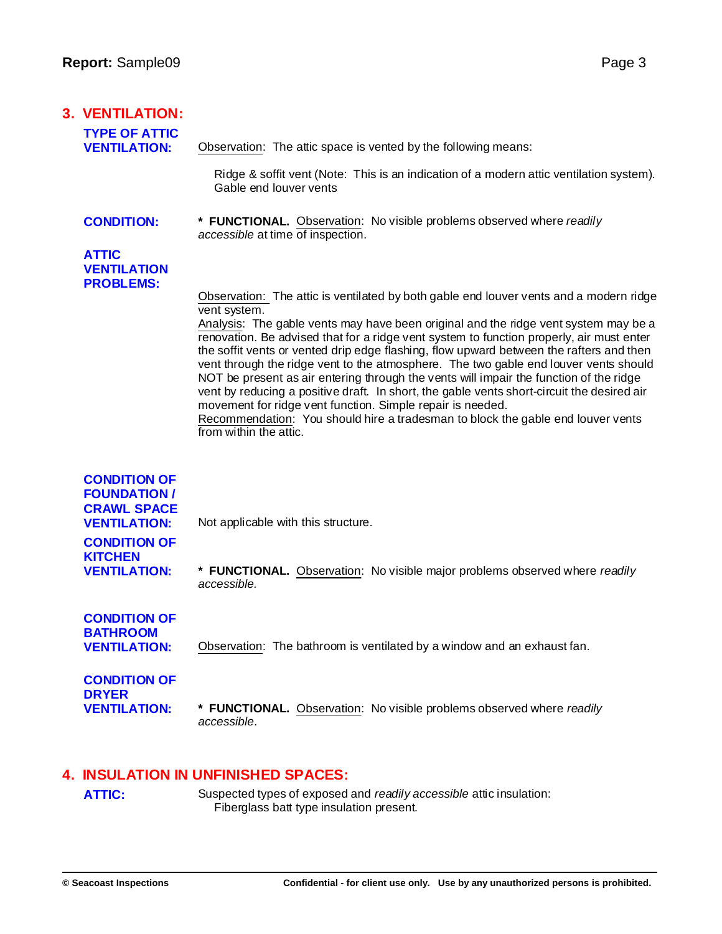| <b>3. VENTILATION:</b>                                                                                                                                  |                                                                                                                                                                                                                                                                                                                                                                                                                                                                                                                                                                                                                                                                                                                                                       |
|---------------------------------------------------------------------------------------------------------------------------------------------------------|-------------------------------------------------------------------------------------------------------------------------------------------------------------------------------------------------------------------------------------------------------------------------------------------------------------------------------------------------------------------------------------------------------------------------------------------------------------------------------------------------------------------------------------------------------------------------------------------------------------------------------------------------------------------------------------------------------------------------------------------------------|
| <b>TYPE OF ATTIC</b><br><b>VENTILATION:</b>                                                                                                             | Observation: The attic space is vented by the following means:                                                                                                                                                                                                                                                                                                                                                                                                                                                                                                                                                                                                                                                                                        |
|                                                                                                                                                         | Ridge & soffit vent (Note: This is an indication of a modern attic ventilation system).<br>Gable end louver vents                                                                                                                                                                                                                                                                                                                                                                                                                                                                                                                                                                                                                                     |
| <b>CONDITION:</b>                                                                                                                                       | * FUNCTIONAL. Observation: No visible problems observed where readily<br>accessible at time of inspection.                                                                                                                                                                                                                                                                                                                                                                                                                                                                                                                                                                                                                                            |
| <b>ATTIC</b><br><b>VENTILATION</b><br><b>PROBLEMS:</b>                                                                                                  | Observation: The attic is ventilated by both gable end louver vents and a modern ridge                                                                                                                                                                                                                                                                                                                                                                                                                                                                                                                                                                                                                                                                |
|                                                                                                                                                         | vent system.<br>Analysis: The gable vents may have been original and the ridge vent system may be a<br>renovation. Be advised that for a ridge vent system to function properly, air must enter<br>the soffit vents or vented drip edge flashing, flow upward between the rafters and then<br>vent through the ridge vent to the atmosphere. The two gable end louver vents should<br>NOT be present as air entering through the vents will impair the function of the ridge<br>vent by reducing a positive draft. In short, the gable vents short-circuit the desired air<br>movement for ridge vent function. Simple repair is needed.<br>Recommendation: You should hire a tradesman to block the gable end louver vents<br>from within the attic. |
| <b>CONDITION OF</b><br><b>FOUNDATION /</b><br><b>CRAWL SPACE</b><br><b>VENTILATION:</b><br><b>CONDITION OF</b><br><b>KITCHEN</b><br><b>VENTILATION:</b> | Not applicable with this structure.<br>* FUNCTIONAL. Observation: No visible major problems observed where readily                                                                                                                                                                                                                                                                                                                                                                                                                                                                                                                                                                                                                                    |
|                                                                                                                                                         | accessible.                                                                                                                                                                                                                                                                                                                                                                                                                                                                                                                                                                                                                                                                                                                                           |
| <b>CONDITION OF</b><br><b>BATHROOM</b><br><b>VENTILATION:</b>                                                                                           | Observation: The bathroom is ventilated by a window and an exhaust fan.                                                                                                                                                                                                                                                                                                                                                                                                                                                                                                                                                                                                                                                                               |
| <b>CONDITION OF</b><br><b>DRYER</b><br><b>VENTILATION:</b>                                                                                              | * FUNCTIONAL. Observation: No visible problems observed where readily<br>accessible.                                                                                                                                                                                                                                                                                                                                                                                                                                                                                                                                                                                                                                                                  |

## **4. INSULATION IN UNFINISHED SPACES:**

ATTIC: Suspected types of exposed and *readily accessible* attic insulation: Fiberglass batt type insulation present.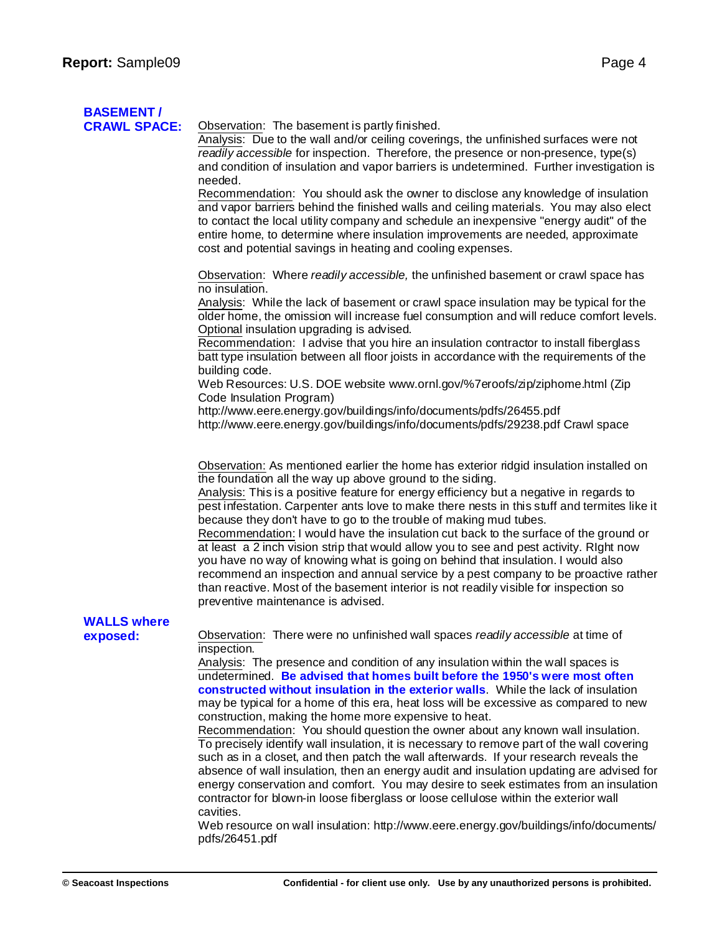# **BASEMENT /**

**CD**servation: The basement is partly finished.

Analysis: Due to the wall and/or ceiling coverings, the unfinished surfaces were not *readily accessible* for inspection. Therefore, the presence or non-presence, type(s) and condition of insulation and vapor barriers is undetermined. Further investigation is needed.

Recommendation: You should ask the owner to disclose any knowledge of insulation and vapor barriers behind the finished walls and ceiling materials. You may also elect to contact the local utility company and schedule an inexpensive "energy audit" of the entire home, to determine where insulation improvements are needed, approximate cost and potential savings in heating and cooling expenses.

Observation: Where *readily accessible,* the unfinished basement or crawl space has no insulation.

Analysis: While the lack of basement or crawl space insulation may be typical for the older home, the omission will increase fuel consumption and will reduce comfort levels. Optional insulation upgrading is advised.

Recommendation: I advise that you hire an insulation contractor to install fiberglass batt type insulation between all floor joists in accordance with the requirements of the building code.

Web Resources: U.S. DOE website <www.ornl.gov/%7eroofs/zip/ziphome.html> (Zip Code Insulation Program)

h[ttp://w](http://www.eere.energy.gov/buildings/info/documents/pdfs/26455.pdf)[ww.eere.energy.gov/buildings/info/documents/pdfs/26455.pdf](www.eere.energy.gov/buildings/info/documents/pdfs/26455.pdf) h[ttp://w](http://www.eere.energy.gov/buildings/info/documents/pdfs/29238.pdf)[ww.eere.energy.gov/buildings/info/documents/pdfs/29238.pdf](www.eere.energy.gov/buildings/info/documents/pdfs/29238.pdf) Crawl space

Observation: As mentioned earlier the home has exterior ridgid insulation installed on the foundation all the way up above ground to the siding.

Analysis: This is a positive feature for energy efficiency but a negative in regards to pest infestation. Carpenter ants love to make there nests in this stuff and termites like it because they don't have to go to the trouble of making mud tubes.

Recommendation: I would have the insulation cut back to the surface of the ground or at least a 2 inch vision strip that would allow you to see and pest activity. RIght now you have no way of knowing what is going on behind that insulation. I would also recommend an inspection and annual service by a pest company to be proactive rather than reactive. Most of the basement interior is not readily visible for inspection so preventive maintenance is advised.

# **WALLS where**

**exposed:** Observation: There were no unfinished wall spaces *readily accessible* at time of inspection.

> Analysis: The presence and condition of any insulation within the wall spaces is undetermined. **Be advised that homes built before the 1950's were most often constructed without insulation in the exterior walls**. While the lack of insulation may be typical for a home of this era, heat loss will be excessive as compared to new construction, making the home more expensive to heat.

Recommendation: You should question the owner about any known wall insulation. To precisely identify wall insulation, it is necessary to remove part of the wall covering such as in a closet, and then patch the wall afterwards. If your research reveals the absence of wall insulation, then an energy audit and insulation updating are advised for energy conservation and comfort. You may desire to seek estimates from an insulation contractor for blown-in loose fiberglass or loose cellulose within the exterior wall cavities.

Web resource on wall insulation: h[ttp://ww](http://www.eere.energy.gov/buildings/info/documents/)[w.eere.energy.gov/buildings/info/documents/](www.eere.energy.gov/buildings/info/documents/) pdfs/26451.pdf